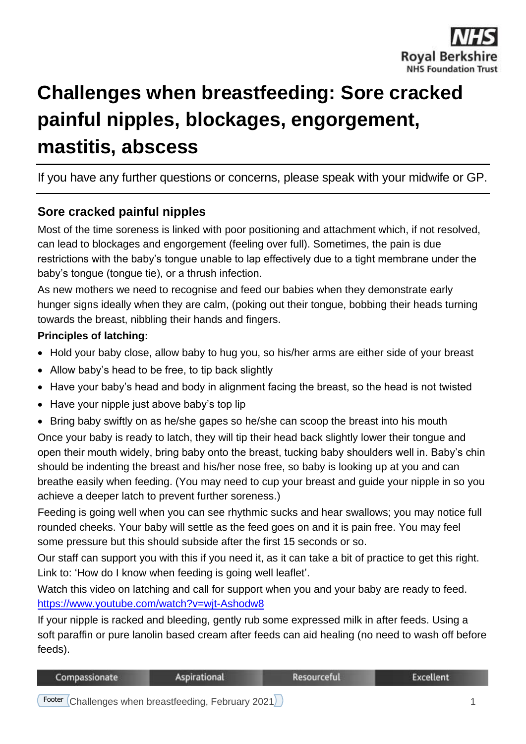

# **Challenges when breastfeeding: Sore cracked painful nipples, blockages, engorgement, mastitis, abscess**

## If you have any further questions or concerns, please speak with your midwife or GP.

## **Sore cracked painful nipples**

Most of the time soreness is linked with poor positioning and attachment which, if not resolved, can lead to blockages and engorgement (feeling over full). Sometimes, the pain is due restrictions with the baby's tongue unable to lap effectively due to a tight membrane under the baby's tongue (tongue tie), or a thrush infection.

As new mothers we need to recognise and feed our babies when they demonstrate early hunger signs ideally when they are calm, (poking out their tongue, bobbing their heads turning towards the breast, nibbling their hands and fingers.

#### **Principles of latching:**

- Hold your baby close, allow baby to hug you, so his/her arms are either side of your breast
- Allow baby's head to be free, to tip back slightly
- Have your baby's head and body in alignment facing the breast, so the head is not twisted
- Have your nipple just above baby's top lip
- Bring baby swiftly on as he/she gapes so he/she can scoop the breast into his mouth

Once your baby is ready to latch, they will tip their head back slightly lower their tongue and open their mouth widely, bring baby onto the breast, tucking baby shoulders well in. Baby's chin should be indenting the breast and his/her nose free, so baby is looking up at you and can breathe easily when feeding. (You may need to cup your breast and guide your nipple in so you achieve a deeper latch to prevent further soreness.)

Feeding is going well when you can see rhythmic sucks and hear swallows; you may notice full rounded cheeks. Your baby will settle as the feed goes on and it is pain free. You may feel some pressure but this should subside after the first 15 seconds or so.

Our staff can support you with this if you need it, as it can take a bit of practice to get this right. Link to: 'How do I know when feeding is going well leaflet'.

Watch this video on latching and call for support when you and your baby are ready to feed. <https://www.youtube.com/watch?v=wjt-Ashodw8>

If your nipple is racked and bleeding, gently rub some expressed milk in after feeds. Using a soft paraffin or pure lanolin based cream after feeds can aid healing (no need to wash off before feeds).

| Compassionate | <b>Aspirational</b> | Resourceful | Excellent |
|---------------|---------------------|-------------|-----------|
|               |                     |             |           |

Footer Challenges when breastfeeding, February 2021 1